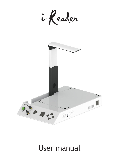

# User manual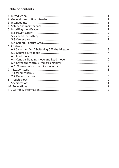# Table of contents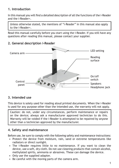# **1. Introduction**

In this manual you will find a detailed description of all the functions of the i-Reader and the i-Reader+.

Unless otherwise stated, the mentions of "i-Reader" in this manual also apply to the i-Reader+.

Read this manual carefully before you start using the i-Reader. If you still have any questions after reading this manual, please contact your supplier.



# **2. General description i-Reader**

# **3. Intended use**

This device is solely used for reading aloud printed documents. When the i-Reader is used for any purpose other than the intended use, the warranty will not apply.

Caution: do not, under any circumstances, perform maintenance or repairs on the device; always ask a manufacturer approved technician to do this. Warranty will be voided if the i-Reader is attempted to be repaired by anyone other than a technician approved by the manufacturer.

# **4. Safety and maintenance**

Before use, be sure to comply with the following safety and maintenance instructions:

- Protect the device from moisture, rain, sand or extreme temperatures like radiators or direct sunlight.
- The i-Reader requires little to no maintenance. If you want to clean the device, use a soft, dry cloth. Do not use cleaning products that contain alcohol, methylated spirits, ammonia or abrasives. These can damage the device.
- Only use the supplied adapter.
- Be careful with the moving parts of the camera arm.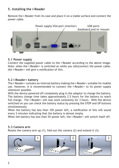# **5. Installing the i-Reader**

Remove the i-Reader from its case and place it on a stable surface and connect the power cable.



## **5.1 Power supply**

Connect the supplied power cable to the i-Reader according to the above image. Note: when the i-Reader+ is switched on while you (dis)connect the power cable, the i-Reader+ will give a notification of this.

## **5.2 i-Reader+ battery**

The i-Reader+ contains an internal battery making the i-Reader+ suitable for mobile use. However, it is recommended to connect the i-Reader+ to its power supply whenever possible.

With the device powered off completely plug in the adaptor to charge the battery. The battery charge time takes approximately 2.5 hours for the battery to reach full charge. The i-Reader+ will now work constantly for 3 hours. With the device switched on you can check the battery status by pressing the STOP and UP buttons simultaneously.

When the battery has less than 10% power left, a notification of this will sound every 3 minutes indicating that the battery is almost empty.

When the battery has less than 5% power left, the *i*-Reader+ will switch itself off.

## **5.3 Camera arm**

Rotate the camera arm up (1), fold out the camera (2) and extend it (3).





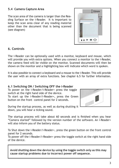3

# **5.4 Camera Capture Area**

The scan area of the camera is larger than the Reading Surface on the i-Reader. It is important to keep the scan area clear of any reading material other than the document that is being scanned (see diagram)

# **6. Controls**

The i-Reader can be optionally used with a monitor, keyboard and mouse, which will provide you with extra options. When you connect a monitor to the i-Reader, the camera feed will be visible on the monitor. Scanned documents will then be shown on the monitor and a highlighting box will indicate which word is spoken.

It is also possible to connect a keyboard and a mouse to the i-Reader. This will provide the user with an array of extra functions. See chapter 6.5 for further information.

## **6.1 Switching ON / Switching OFF the i-Reader**

To power on the i-Reader/i-Reader+ press the toggle switch at the right hand side of the device. To start up the i-Reader/i-Reader+, press the Green button on the front control panel for 2 seconds.

During the startup process, as well as during shutting it down, you will hear a ticking sound.

The startup process will take about 60 seconds and is finished when you hear "Camera started" followed by the version number of the software. An i-Reader+ will also inform you of the battery status.

To Shut down the i-Reader/i-Reader+, press the green button on the front control panel for 2 seconds.

To power off the i-Reader/i-Reader+ press the toggle switch at the right hand side of the device.

**Avoid shutting down the device by using the toggle switch only as this may cause startup problems due to incorrect power off sequence.**



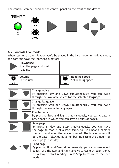The controls can be found on the control panel on the front of the device.



# **6.2 Controls Live mode**

When starting up the i-Reader, you'll be placed in the Live mode. In the Live mode, the controls have the following functions:

|                                                                                                                                                                                                                                                                                                      | <b>Play/pause</b><br>reading. | Scan the page and start                                    |                                                                                                                                                                                              |
|------------------------------------------------------------------------------------------------------------------------------------------------------------------------------------------------------------------------------------------------------------------------------------------------------|-------------------------------|------------------------------------------------------------|----------------------------------------------------------------------------------------------------------------------------------------------------------------------------------------------|
|                                                                                                                                                                                                                                                                                                      | Volume<br>Set volume.         |                                                            | <b>Reading speed</b><br>Set reading speed.                                                                                                                                                   |
|                                                                                                                                                                                                                                                                                                      | +                             | <b>Change voice</b>                                        | By pressing Play and Down simultaneously, you can cycle<br>through the available voices for the selected language.                                                                           |
|                                                                                                                                                                                                                                                                                                      | +                             | <b>Change language</b><br>through the available languages. | By pressing Stop and Down simultaneously, you can cycle                                                                                                                                      |
|                                                                                                                                                                                                                                                                                                      | +                             | <b>Create book</b>                                         | By pressing Stop and Right simultaneously, you can create a<br>new "book" in which you can save a series of pages.                                                                           |
| Save page<br>$\ddot{}$<br>By pressing Play and Stop simultaneously, you can save<br>the page to read it at a later time. You will hear a camera<br>shutter sound when the image is saved. The image name will<br>be the date, followed by a number indicating the amount of<br>saved pages that day. |                               |                                                            |                                                                                                                                                                                              |
|                                                                                                                                                                                                                                                                                                      |                               | Load page<br>mode.                                         | By pressing Up and Down simultaneously, you can access saved<br>pages. Use the Left and Right arrows to cycle through them.<br>Press Play to start reading. Press Stop to return to the Live |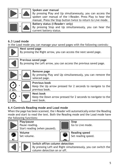

## **Spoken user manual**

By pressing Play and Up simultaneously, you can access the spoken user manual of the i-Reader. Press Play to hear the manual. Press the Stop button twice to return to Live mode.



**Battery status (i-Reader+ only)** By pressing Stop and Up simultaneously, you can hear the current battery status.

# **6.3 Load mode**

In the Load mode you can manage your saved pages with the following controls:



# **6.4 Controls Reading mode and Load mode**

When the page has been scanned, the i-Reader will automatically enter the Reading mode and start to read the text. Both the Reading mode and the Load mode have the following functions:

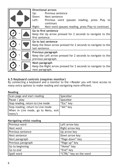|                                                                   | <b>Directional arrows</b>                                     |  |  |
|-------------------------------------------------------------------|---------------------------------------------------------------|--|--|
|                                                                   | Up:<br><b>Previous sentence</b>                               |  |  |
|                                                                   | Down: Next sentence                                           |  |  |
|                                                                   | Left:<br>Previous word (pauses reading, press Play to         |  |  |
|                                                                   | continue)                                                     |  |  |
|                                                                   | Right:<br>Next word (pauses reading, press Play to continue)  |  |  |
|                                                                   | Go to first sentence                                          |  |  |
|                                                                   | Keep the Up arrow pressed for 2 seconds to navigate to the    |  |  |
| 2 sec.                                                            | first sentence.                                               |  |  |
|                                                                   | Go to last sentence                                           |  |  |
|                                                                   | Keep the Down arrow pressed for 2 seconds to navigate to the  |  |  |
| 2 sec.                                                            | last sentence.                                                |  |  |
| Previous paragraph                                                |                                                               |  |  |
| +<br>Keep the Left arrow pressed for 2 seconds to navigate to the |                                                               |  |  |
| 2 sec.                                                            | previous paragraph.                                           |  |  |
| Next paragraph                                                    |                                                               |  |  |
| $\pm$                                                             | Keep the Right arrow pressed for 2 seconds to navigate to the |  |  |
| 2 sec.                                                            | next paragraph.                                               |  |  |

## **6.5 Keyboard controls (requires monitor)**

By connecting a keyboard and a monitor to the i-Reader you will have access to many extra options to make reading and navigating more efficient.

#### **Reading**

| Scan page and start reading         | Spacebar  |
|-------------------------------------|-----------|
| Pause / play                        | Spacebar  |
| Stop reading, return to Live mode   | "Esc" key |
| Stop reading, return to Live mode   | "Alt" key |
| When in Live mode, go to Menu, exit |           |
| menu's                              |           |

#### **Navigating whilst reading**

| Previous word      | Left arrow key         |
|--------------------|------------------------|
| Next word          | Right arrow key        |
| Previous sentence  | Up arrow key           |
| Next sentence      | Down arrow key         |
| Next paragraph     | "Page down" key        |
| Previous paragraph | "Page up" key          |
| Go to beginning    | "Home" key             |
| Go to end          | "End" key              |
| Spell word         | "CTRL" key on the word |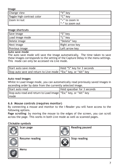#### **Image**

| <b>Change view</b>         | "V" key                 |
|----------------------------|-------------------------|
| Toggle high contrast color | "C" key                 |
| <b>Zoom</b> in/out         | $\vert$ "+" to zoom in  |
|                            | $\vert$ "-" to zoom out |

#### **Image shortcuts**

| Save image      | "S" key         |
|-----------------|-----------------|
| Load image mode | "L" key         |
| Delete image    | "Delete" key    |
| Next image      | Right arrow key |
| Previous image  | Left arrow key  |

#### **Auto save mode**

The auto save mode will save the image automatically. The time taken to save these images corresponds to the setting of the Capture Delay in the menu settings. This mode can only be accessed via Live mode.

| Start auto save mode                                             | Hold "S" key for 3 seconds |
|------------------------------------------------------------------|----------------------------|
| Stop auto save and return to Live mode   "Esc" key, or "Alt" key |                            |

### **Auto read images**

Whilst in Load image mode, you can automatically read previously saved images in ascending order by date from the currently selected image.

| Start auto read                                                   | Hold spacebar for 3 seconds |
|-------------------------------------------------------------------|-----------------------------|
| Stop auto read and return to Load image   "Esc" key, or "Alt" key |                             |
| mode                                                              |                             |

## **6.6 Mouse controls (requires monitor)**

By connecting a mouse and monitor to the i-Reader you will have access to the following options.

**Page scrolling**: by moving the mouse to the edges of the screen, you can scroll across the page. This works in both Live mode as well as scanned pages.

## **Clickable symbols**

| Scan page             | <b>Reading paused</b> |
|-----------------------|-----------------------|
| <b>Resume reading</b> | <b>Stop reading</b>   |
| Menu                  |                       |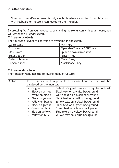## **7. i-Reader Menu**

Attention: the i-Reader Menu is only available when a monitor in combination with keyboard or mouse is connected to the i-Reader.

By pressing "Alt" on your keyboard, or clicking the Menu icon with your mouse, you will enter the i-Reader Menu.

#### **7.1 Menu controls**

The following keyboard controls are available in the Menu.

| Go to Menu       | "Alt" key                   |
|------------------|-----------------------------|
| <b>Exit Menu</b> | "Spacebar" key or "Alt" key |
| Up / Down        | Up and down arrow keys      |
| Select option    | "Enter" key                 |
| Enter submenu    | "Enter" key                 |
| Previous menu    | "Backspace" key             |

#### **7.2 Menu structure**

The i-Reader Menu has the following menu structure:

| <b>Color</b> |                           | In this submenu it is possible to choose how the text will be |
|--------------|---------------------------|---------------------------------------------------------------|
|              |                           |                                                               |
|              | displayed on the monitor. |                                                               |
|              | • Original:               | Default. Original colors with regular contrast                |
|              | • Black on white:         | Black text on a white background                              |
|              | • White on black:         | White text on a black background                              |
|              | • Black on yellow:        | Black text on a yellow background                             |
|              | • Yellow on black:        | Yellow text on a black background                             |
|              | • Black on green:         | Black text on a green background                              |
|              | • Green on black:         | Green text on a black background                              |
|              | • Blue on yellow:         | Blue text on a yellow background                              |
|              | • Yellow on blue:         | Yellow text on a blue background                              |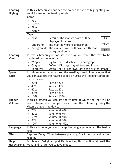| <b>Reading</b>   | In this submenu you can set the color and type of highlighting you |                                                                       |  |
|------------------|--------------------------------------------------------------------|-----------------------------------------------------------------------|--|
| <b>Highlight</b> | want to use in the Reading mode.                                   |                                                                       |  |
|                  | Color                                                              |                                                                       |  |
|                  | Red                                                                |                                                                       |  |
|                  | Green                                                              |                                                                       |  |
|                  | <b>Blue</b>                                                        |                                                                       |  |
|                  | Yellow                                                             |                                                                       |  |
|                  | Type                                                               |                                                                       |  |
|                  | Box:                                                               | Default. The marked word will be<br><b>TEXT</b><br>displayed in a box |  |
|                  | Underline:                                                         | <b>TEXT</b><br>The marked word is underlined                          |  |
|                  |                                                                    | Background: The marked word will have a different                     |  |
|                  |                                                                    | <b>TEXT</b><br>background color                                       |  |
| <b>Reading</b>   | In this submenu you can set the way you want the text to be        |                                                                       |  |
| <b>View</b>      | displayed on the monitor.                                          |                                                                       |  |
|                  | Wrapped:                                                           | Digital text is displayed by paragraph                                |  |
|                  | Original:                                                          | Default. Displays original text and image                             |  |
|                  | Redrawn:                                                           | Digital text is 'redrawn' onto the original image                     |  |
| Speech           |                                                                    | In this submenu you can set the reading speed. Please note that       |  |
| Rate             |                                                                    | you can also set the reading speed by using the Reading speed dial    |  |
|                  | on the device.                                                     |                                                                       |  |
|                  | 20%:                                                               | Rate at 20%                                                           |  |
|                  | 40%:                                                               | Rate at 40%                                                           |  |
|                  | 60%:                                                               | Rate at 60%                                                           |  |
|                  | 80%:                                                               | Rate at 80%                                                           |  |
|                  | 100%:                                                              | Rate at 100%                                                          |  |
| Speech           |                                                                    | In this submenu you can set the volume at which the text will be      |  |
| <b>Volume</b>    | read. Please note that you can also set the volume by using the    |                                                                       |  |
|                  | Volume dial on the device.                                         |                                                                       |  |
|                  | 20%:                                                               | Volume at 20%                                                         |  |
|                  | 40%:                                                               | Volume at 40%                                                         |  |
|                  | 60%: Volume at 60%                                                 |                                                                       |  |
|                  | 80%:                                                               | <b>Solume at 80%</b>                                                  |  |
|                  | 100%:                                                              | Volume at 100%                                                        |  |
| Language         |                                                                    | In this submenu you can change the language in which the text is      |  |
|                  | read.                                                              |                                                                       |  |
| <b>Misc</b>      |                                                                    | Capture Delay. Time between pressing Start button and actual          |  |
|                  | reading.                                                           |                                                                       |  |
| Help             |                                                                    | Displays a 16-digit support ID. Selecting this function will exit the |  |
|                  | Hardware ID   Menu and return you to Live mode.                    |                                                                       |  |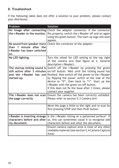# **8. Troubleshoot**

If the following table does not offer a solution to your problem, please contact your distributor.

| Problem                                                                            | Solution                                                                                                                                                                                                                                                                                                                                                                                                            |
|------------------------------------------------------------------------------------|---------------------------------------------------------------------------------------------------------------------------------------------------------------------------------------------------------------------------------------------------------------------------------------------------------------------------------------------------------------------------------------------------------------------|
| the i-Reader to the monitor.                                                       | No image after connecting Check the adapter connector. If the connector<br>fits properly, switch the <i>i</i> -Reader off and on again<br>using the green button. The start-up logo will soon<br>appear.                                                                                                                                                                                                            |
| than 1 minute after the<br>i-Reader has been switched<br>on.                       | No sound from speaker more Check the connector of the adapter.                                                                                                                                                                                                                                                                                                                                                      |
| No LED lighting.                                                                   | Turn the wheel for LED setting at the top right<br>of the camera arm (See figure at 2. General<br>description <i>i-Reader</i> ).                                                                                                                                                                                                                                                                                    |
| The startup ticking sound is<br>and the i-Reader has not<br>started up.            | Switch off the i-Reader by pressing the green<br>still active after 3 minutes on/off button. Wait until the ticking sound has<br>finished. Now switch off the power to the i-Reader<br>by flipping the power switch at the side of the<br>device to "0", then back to "1". Start up the<br>i-Reader with the green on/off button.<br>If this does not fix the issue after 3 times, please<br>contact your supplier. |
| the page correctly                                                                 | The i-Reader does not scan   Ensure the camera has been correctly unfolded.<br>Please refer to section 5.3 Camera Arm                                                                                                                                                                                                                                                                                               |
|                                                                                    | Move the page a little to the right and re-scan by<br>first pressing STOP and then PLAY button                                                                                                                                                                                                                                                                                                                      |
| <i>i-Reader is inserting strange</i><br>characters before and after<br>my document | Is the i-Reader sitting on a patterned surface? If<br>so, this can sometimes cause it to recognise odd<br>characters before and after the document.                                                                                                                                                                                                                                                                 |
|                                                                                    | Ensure camera capture area is clear of any other<br>readable material (see section 5.4 Camera Capture<br>Area)                                                                                                                                                                                                                                                                                                      |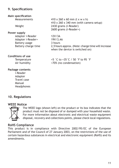# **9. Specifications**

#### **Main specification**

Measurements  $410 \times 260 \times 60$  mm (l x w x h) 410 x 260 x 340 mm (with camera setup) Weight 2430 grams (i-Reader) 2600 grams (i-Reader+)

# **Power supply** Adapter i-Reader 12V/3A Adapter i-Reader+ 19V/3,4A Battery usage 3 hours

## **Conditions of use**

Temperature  $+5 \degree C$  to  $+35 \degree C$  / 50  $\degree F$  to 95  $\degree F$ Air humidity <70% (no condensation)

## **Package contents**

i-Reader Adapter Travel case Manual **Headphones** 

Battery charge time 2,5 hours approx. (Note: charge time will increase when the device is switched on)

# **10. Regulations**

## **WEEE Notice**



The WEEE logo (shown left) on the product or its box indicates that the product must not be disposed of or dumped with your household waste. For more information about electronic and electrical waste equipment disposal, recovery and collections points, please check local regulations.

# **RoHS Compliance**

This product is in compliance with Directive 2002/95/EC of the European Parliament and of the Council of 27 January 2003, on the restrictions of the use of certain hazardous substances in electrical and electronic equipment (RoHS) and its amendments.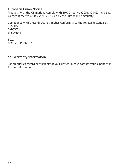## **European Union Notice**

Products with the CE marking comply with EMC Directive (2004/108/EC) and Low Voltage Directive (2006/95/EEC) issued by the European Community.

Compliance with these directives implies conformity to the following standards: EN55022 ENB55024 EN60950-1

## **FCC**

FCC part 15 Class B

# **11. Warranty information**

For all queries regarding warranty of your device, please contact your supplier for further information.